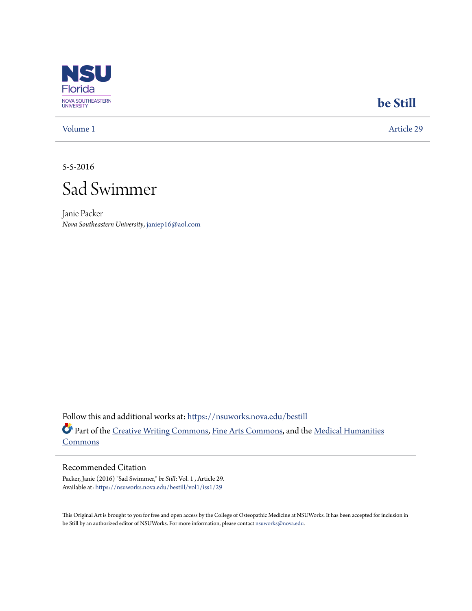

## **[be Still](https://nsuworks.nova.edu/bestill?utm_source=nsuworks.nova.edu%2Fbestill%2Fvol1%2Fiss1%2F29&utm_medium=PDF&utm_campaign=PDFCoverPages)**

[Volume 1](https://nsuworks.nova.edu/bestill/vol1?utm_source=nsuworks.nova.edu%2Fbestill%2Fvol1%2Fiss1%2F29&utm_medium=PDF&utm_campaign=PDFCoverPages) [Article 29](https://nsuworks.nova.edu/bestill/vol1/iss1/29?utm_source=nsuworks.nova.edu%2Fbestill%2Fvol1%2Fiss1%2F29&utm_medium=PDF&utm_campaign=PDFCoverPages)

5-5-2016



Janie Packer *Nova Southeastern University*, janiep16@aol.com

Follow this and additional works at: [https://nsuworks.nova.edu/bestill](https://nsuworks.nova.edu/bestill?utm_source=nsuworks.nova.edu%2Fbestill%2Fvol1%2Fiss1%2F29&utm_medium=PDF&utm_campaign=PDFCoverPages) Part of the [Creative Writing Commons](http://network.bepress.com/hgg/discipline/574?utm_source=nsuworks.nova.edu%2Fbestill%2Fvol1%2Fiss1%2F29&utm_medium=PDF&utm_campaign=PDFCoverPages), [Fine Arts Commons,](http://network.bepress.com/hgg/discipline/1141?utm_source=nsuworks.nova.edu%2Fbestill%2Fvol1%2Fiss1%2F29&utm_medium=PDF&utm_campaign=PDFCoverPages) and the [Medical Humanities](http://network.bepress.com/hgg/discipline/1303?utm_source=nsuworks.nova.edu%2Fbestill%2Fvol1%2Fiss1%2F29&utm_medium=PDF&utm_campaign=PDFCoverPages) [Commons](http://network.bepress.com/hgg/discipline/1303?utm_source=nsuworks.nova.edu%2Fbestill%2Fvol1%2Fiss1%2F29&utm_medium=PDF&utm_campaign=PDFCoverPages)

## Recommended Citation

Packer, Janie (2016) "Sad Swimmer," *be Still*: Vol. 1 , Article 29. Available at: [https://nsuworks.nova.edu/bestill/vol1/iss1/29](https://nsuworks.nova.edu/bestill/vol1/iss1/29?utm_source=nsuworks.nova.edu%2Fbestill%2Fvol1%2Fiss1%2F29&utm_medium=PDF&utm_campaign=PDFCoverPages)

This Original Art is brought to you for free and open access by the College of Osteopathic Medicine at NSUWorks. It has been accepted for inclusion in be Still by an authorized editor of NSUWorks. For more information, please contact [nsuworks@nova.edu](mailto:nsuworks@nova.edu).